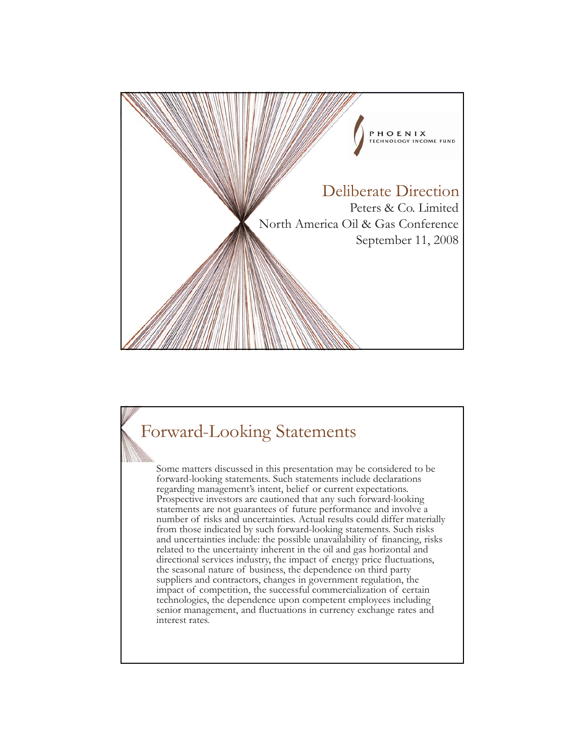

#### Forward-Looking Statements

Some matters discussed in this presentation may be considered to be forward-looking statements. Such statements include declarations regarding management's intent, belief or current expectations. Prospective investors are cautioned that any such forward-looking statements are not guarantees of future performance and involve a number of risks and uncertainties. Actual results could differ materially from those indicated by such forward-looking statements. Such risks and uncertainties include: the possible unavailability of financing, risks related to the uncertainty inherent in the oil and gas horizontal and directional services industry, the impact of energy price fluctuations, the seasonal nature of business, the dependence on third party suppliers and contractors, changes in government regulation, the impact of competition, the successful commercialization of certain technologies, the dependence upon competent employees including senior management, and fluctuations in currency exchange rates and interest rates.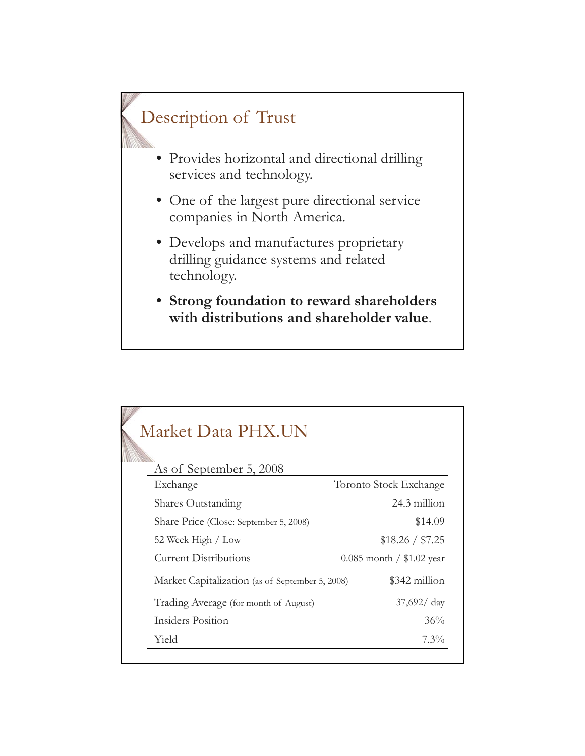# Description of Trust

- Provides horizontal and directional drilling services and technology.
- One of the largest pure directional service companies in North America.
- Develops and manufactures proprietary drilling guidance systems and related technology.
- **Strong foundation to reward shareholders with distributions and shareholder value**.

| Market Data PHX.UN                              |                             |  |  |
|-------------------------------------------------|-----------------------------|--|--|
| As of September 5, 2008<br>Exchange             | Toronto Stock Exchange      |  |  |
| Shares Outstanding                              | 24.3 million                |  |  |
| Share Price (Close: September 5, 2008)          | \$14.09                     |  |  |
| 52 Week High / Low                              | \$18.26 / \$7.25            |  |  |
| <b>Current Distributions</b>                    | $0.085$ month / \$1.02 year |  |  |
| Market Capitalization (as of September 5, 2008) | \$342 million               |  |  |
| Trading Average (for month of August)           | $37,692/$ day               |  |  |
| Insiders Position                               | 36%                         |  |  |
| Yield                                           | $7.3\%$                     |  |  |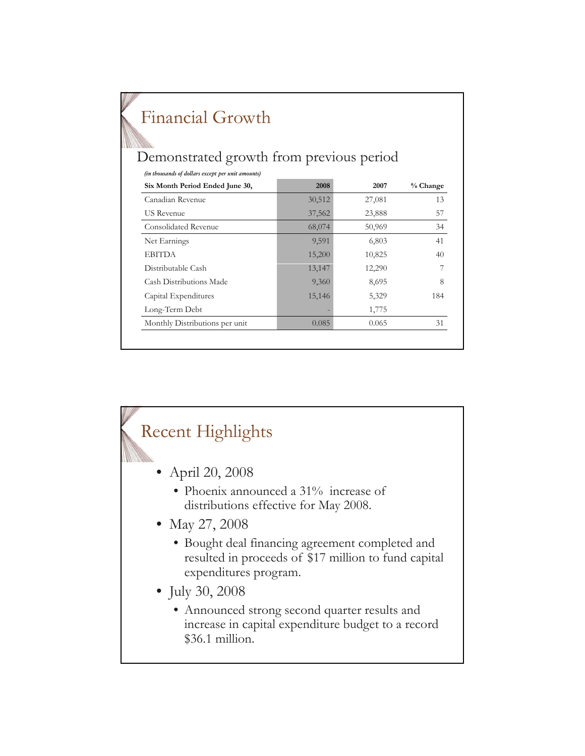| Financial Growth<br>Demonstrated growth from previous period |        |        |          |  |  |  |
|--------------------------------------------------------------|--------|--------|----------|--|--|--|
| (in thousands of dollars except per unit amounts)            |        |        |          |  |  |  |
| Six Month Period Ended June 30,                              | 2008   | 2007   | % Change |  |  |  |
| Canadian Revenue                                             | 30,512 | 27,081 | 13       |  |  |  |
| <b>US</b> Revenue                                            | 37,562 | 23,888 | 57       |  |  |  |
| Consolidated Revenue                                         | 68,074 | 50,969 | 34       |  |  |  |
| Net Earnings                                                 | 9,591  | 6,803  | 41       |  |  |  |
| <b>EBITDA</b>                                                | 15,200 | 10,825 | 40       |  |  |  |
| Distributable Cash                                           | 13,147 | 12,290 |          |  |  |  |
| Cash Distributions Made                                      | 9,360  | 8,695  | 8        |  |  |  |
| Capital Expenditures                                         | 15,146 | 5,329  | 184      |  |  |  |
| Long-Term Debt                                               |        | 1,775  |          |  |  |  |
| Monthly Distributions per unit                               | 0.085  | 0.065  | 31       |  |  |  |

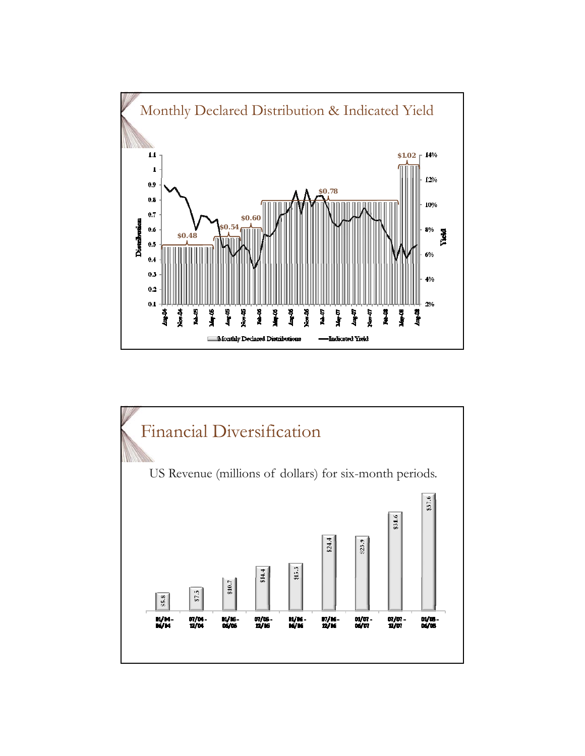

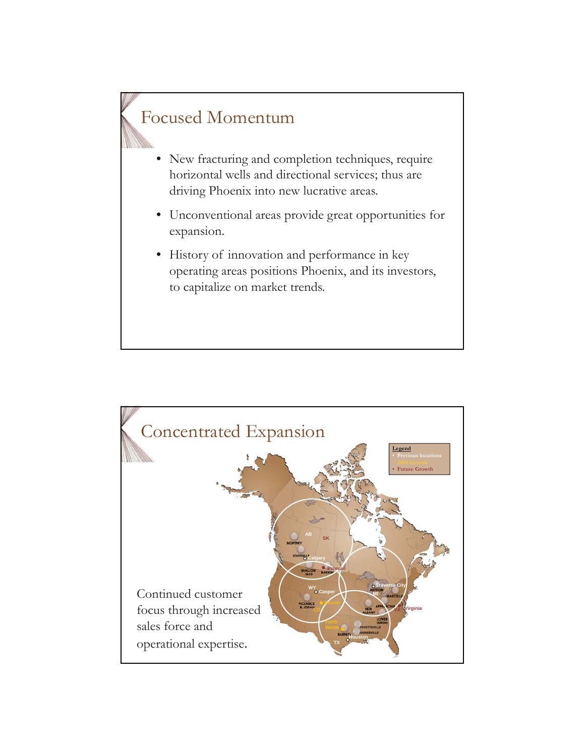## Focused Momentum

- New fracturing and completion techniques, require horizontal wells and directional services; thus are driving Phoenix into new lucrative areas.
- Unconventional areas provide great opportunities for expansion.
- History of innovation and performance in key operating areas positions Phoenix, and its investors, to capitalize on market trends.

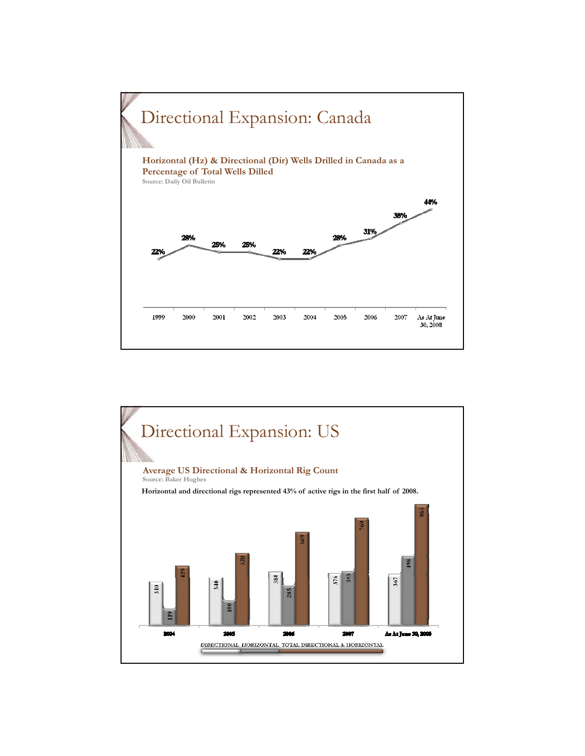

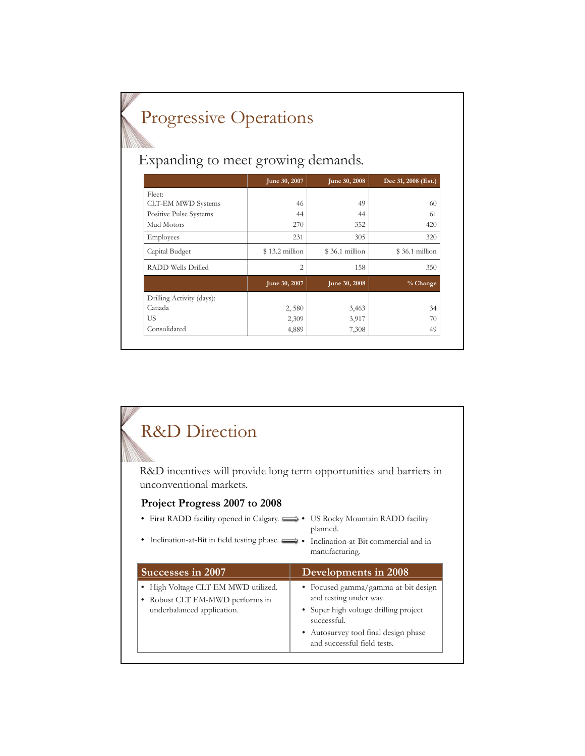## Progressive Operations

Expanding to meet growing demands.

|                           | June 30, 2007  | June 30, 2008  | Dec 31, 2008 (Est.) |
|---------------------------|----------------|----------------|---------------------|
| Fleet:                    |                |                |                     |
| <b>CLT-EM MWD Systems</b> | 46             | 49             | 60                  |
| Positive Pulse Systems    | 44             | 44             | 61                  |
| Mud Motors                | 270            | 352            | 420                 |
| Employees                 | 231            | 305            | 320                 |
| Capital Budget            | \$13.2 million | \$36.1 million | \$36.1 million      |
| <b>RADD Wells Drilled</b> | 2              | 158            | 350                 |
|                           | June 30, 2007  | June 30, 2008  | % Change            |
| Drilling Activity (days): |                |                |                     |
| Canada                    | 2,580          | 3,463          | 34                  |
| <b>US</b>                 | 2,309          | 3,917          | 70                  |
| Consolidated              | 4,889          | 7,308          | 49                  |

#### R&D Direction R&D incentives will provide long term opportunities and barriers in unconventional markets. **Project Progress 2007 to 2008** • First RADD facility opened in Calgary.  $\implies$  US Rocky Mountain RADD facility • Inclination-at-Bit in field testing phase. • Inclination-at-Bit commercial and in planned. manufacturing. **Successes in 2007 Developments in 2008** • High Voltage CLT-EM MWD utilized. • Robust CLT EM-MWD performs in underbalanced application. • Focused gamma/gamma-at-bit design and testing under way. • Super high voltage drilling project successful. • Autosurvey tool final design phase and successful field tests.